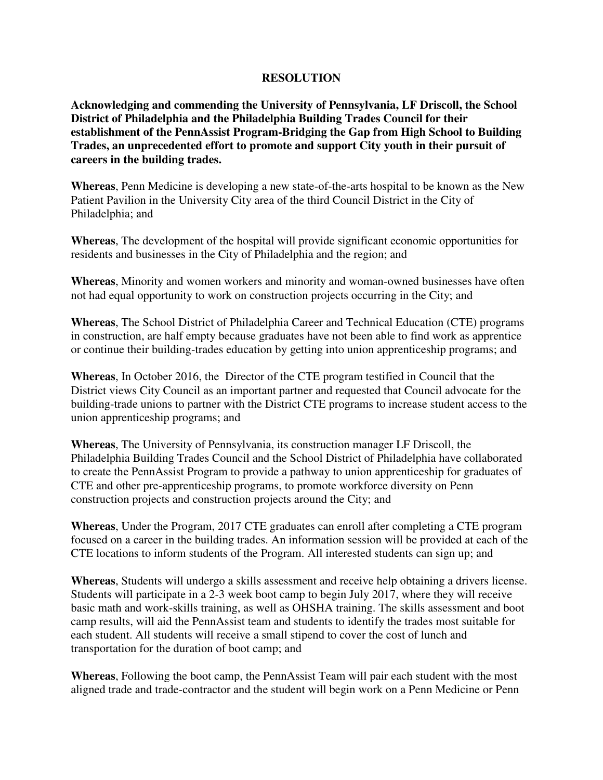## **RESOLUTION**

**Acknowledging and commending the University of Pennsylvania, LF Driscoll, the School District of Philadelphia and the Philadelphia Building Trades Council for their establishment of the PennAssist Program-Bridging the Gap from High School to Building Trades, an unprecedented effort to promote and support City youth in their pursuit of careers in the building trades.** 

**Whereas**, Penn Medicine is developing a new state-of-the-arts hospital to be known as the New Patient Pavilion in the University City area of the third Council District in the City of Philadelphia; and

**Whereas**, The development of the hospital will provide significant economic opportunities for residents and businesses in the City of Philadelphia and the region; and

**Whereas**, Minority and women workers and minority and woman-owned businesses have often not had equal opportunity to work on construction projects occurring in the City; and

**Whereas**, The School District of Philadelphia Career and Technical Education (CTE) programs in construction, are half empty because graduates have not been able to find work as apprentice or continue their building-trades education by getting into union apprenticeship programs; and

**Whereas**, In October 2016, the Director of the CTE program testified in Council that the District views City Council as an important partner and requested that Council advocate for the building-trade unions to partner with the District CTE programs to increase student access to the union apprenticeship programs; and

**Whereas**, The University of Pennsylvania, its construction manager LF Driscoll, the Philadelphia Building Trades Council and the School District of Philadelphia have collaborated to create the PennAssist Program to provide a pathway to union apprenticeship for graduates of CTE and other pre-apprenticeship programs, to promote workforce diversity on Penn construction projects and construction projects around the City; and

**Whereas**, Under the Program, 2017 CTE graduates can enroll after completing a CTE program focused on a career in the building trades. An information session will be provided at each of the CTE locations to inform students of the Program. All interested students can sign up; and

**Whereas**, Students will undergo a skills assessment and receive help obtaining a drivers license. Students will participate in a 2-3 week boot camp to begin July 2017, where they will receive basic math and work-skills training, as well as OHSHA training. The skills assessment and boot camp results, will aid the PennAssist team and students to identify the trades most suitable for each student. All students will receive a small stipend to cover the cost of lunch and transportation for the duration of boot camp; and

**Whereas**, Following the boot camp, the PennAssist Team will pair each student with the most aligned trade and trade-contractor and the student will begin work on a Penn Medicine or Penn